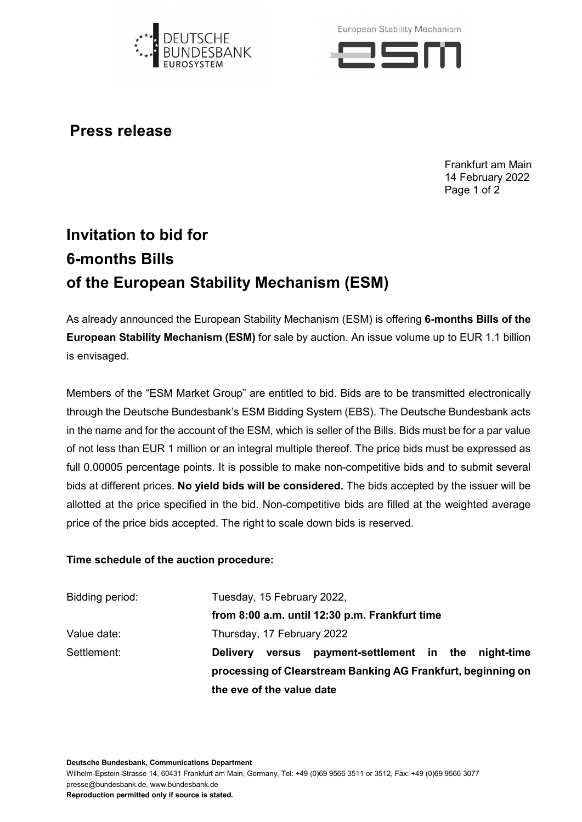

European Stability Mechanism



**Press release**

Frankfurt am Main 14 February 2022 Page 1 of 2

## **Invitation to bid for 6-months Bills of the European Stability Mechanism (ESM)**

As already announced the European Stability Mechanism (ESM) is offering **6-months Bills of the European Stability Mechanism (ESM)** for sale by auction. An issue volume up to EUR 1.1 billion is envisaged.

Members of the "ESM Market Group" are entitled to bid. Bids are to be transmitted electronically through the Deutsche Bundesbank's ESM Bidding System (EBS). The Deutsche Bundesbank acts in the name and for the account of the ESM, which is seller of the Bills. Bids must be for a par value of not less than EUR 1 million or an integral multiple thereof. The price bids must be expressed as full 0.00005 percentage points. It is possible to make non-competitive bids and to submit several bids at different prices. **No yield bids will be considered.** The bids accepted by the issuer will be allotted at the price specified in the bid. Non-competitive bids are filled at the weighted average price of the price bids accepted. The right to scale down bids is reserved.

## **Time schedule of the auction procedure:**

| Bidding period: | Tuesday, 15 February 2022,                                     |  |
|-----------------|----------------------------------------------------------------|--|
|                 | from 8:00 a.m. until 12:30 p.m. Frankfurt time                 |  |
| Value date:     | Thursday, 17 February 2022                                     |  |
| Settlement:     | versus payment-settlement in the night-time<br><b>Delivery</b> |  |
|                 | processing of Clearstream Banking AG Frankfurt, beginning on   |  |
|                 | the eve of the value date                                      |  |